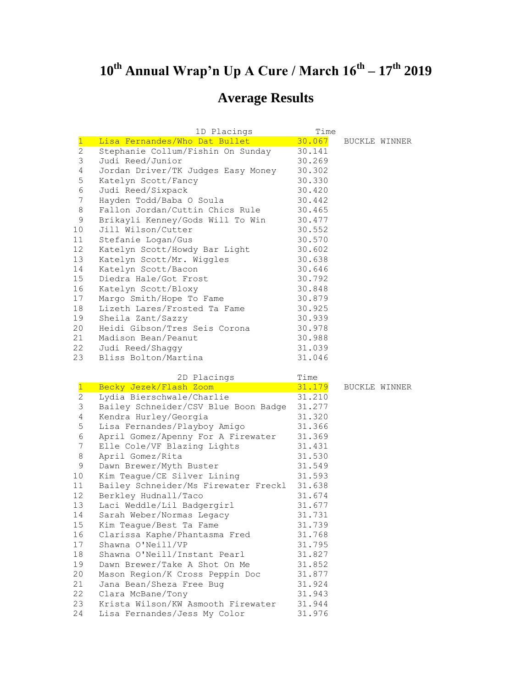## **10th Annual Wrap'n Up A Cure / March 16th – 17th 2019**

## **Average Results**

|                 | 1D Placings                        | Time   |               |
|-----------------|------------------------------------|--------|---------------|
| $\overline{1}$  | Lisa Fernandes/Who Dat Bullet      | 30.067 | BUCKLE WINNER |
| $\overline{2}$  | Stephanie Collum/Fishin On Sunday  | 30.141 |               |
| 3               | Judi Reed/Junior                   | 30.269 |               |
| 4               | Jordan Driver/TK Judges Easy Money | 30.302 |               |
| 5               | Katelyn Scott/Fancy                | 30.330 |               |
| 6               | Judi Reed/Sixpack                  | 30.420 |               |
| 7               | Hayden Todd/Baba O Soula           | 30.442 |               |
| 8               | Fallon Jordan/Cuttin Chics Rule    | 30.465 |               |
| 9               | Brikayli Kenney/Gods Will To Win   | 30.477 |               |
| 10 <sup>°</sup> | Jill Wilson/Cutter                 | 30.552 |               |
| 11              | Stefanie Logan/Gus                 | 30.570 |               |
| 12 <sup>7</sup> | Katelyn Scott/Howdy Bar Light      | 30.602 |               |
| 13              | Katelyn Scott/Mr. Wiggles          | 30.638 |               |
| 14              | Katelyn Scott/Bacon                | 30.646 |               |
| 15              | Diedra Hale/Got Frost              | 30.792 |               |
| 16              | Katelyn Scott/Bloxy                | 30.848 |               |
| 17              | Margo Smith/Hope To Fame           | 30.879 |               |
| 18              | Lizeth Lares/Frosted Ta Fame       | 30.925 |               |
| 19              | Sheila Zant/Sazzy                  | 30.939 |               |
| 20              | Heidi Gibson/Tres Seis Corona      | 30.978 |               |
| 21              | Madison Bean/Peanut                | 30.988 |               |
| 22              | Judi Reed/Shaggy                   | 31.039 |               |
| 23              | Bliss Bolton/Martina               | 31.046 |               |

|                 | 2D Placings                          | Time   |                      |
|-----------------|--------------------------------------|--------|----------------------|
| $\mathbf{1}$    | Becky Jezek/Flash Zoom               | 31.179 | <b>BUCKLE WINNER</b> |
| $\mathbf{2}$    | Lydia Bierschwale/Charlie            | 31.210 |                      |
| 3               | Bailey Schneider/CSV Blue Boon Badge | 31.277 |                      |
| 4               | Kendra Hurley/Georgia                | 31.320 |                      |
| 5               | Lisa Fernandes/Playboy Amigo         | 31.366 |                      |
| 6               | April Gomez/Apenny For A Firewater   | 31.369 |                      |
| 7               | Elle Cole/VF Blazing Lights          | 31.431 |                      |
| $\,8\,$         | April Gomez/Rita                     | 31.530 |                      |
| 9               | Dawn Brewer/Myth Buster              | 31.549 |                      |
| 10 <sub>1</sub> | Kim Teague/CE Silver Lining          | 31.593 |                      |
| 11              | Bailey Schneider/Ms Firewater Freckl | 31.638 |                      |
| 12 <sup>°</sup> | Berkley Hudnall/Taco                 | 31.674 |                      |
| 13              | Laci Weddle/Lil Badgergirl           | 31.677 |                      |
| 14              | Sarah Weber/Normas Legacy            | 31.731 |                      |
| 15 <sub>1</sub> | Kim Teague/Best Ta Fame              | 31.739 |                      |
| 16              | Clarissa Kaphe/Phantasma Fred        | 31.768 |                      |
| 17              | Shawna O'Neill/VP                    | 31.795 |                      |
| 18              | Shawna O'Neill/Instant Pearl         | 31.827 |                      |
| 19              | Dawn Brewer/Take A Shot On Me        | 31.852 |                      |
| 20              | Mason Region/K Cross Peppin Doc      | 31.877 |                      |
| 21              | Jana Bean/Sheza Free Bug             | 31.924 |                      |
| 22              | Clara McBane/Tony                    | 31.943 |                      |
| 23              | Krista Wilson/KW Asmooth Firewater   | 31.944 |                      |
| 24              | Lisa Fernandes/Jess My Color         | 31.976 |                      |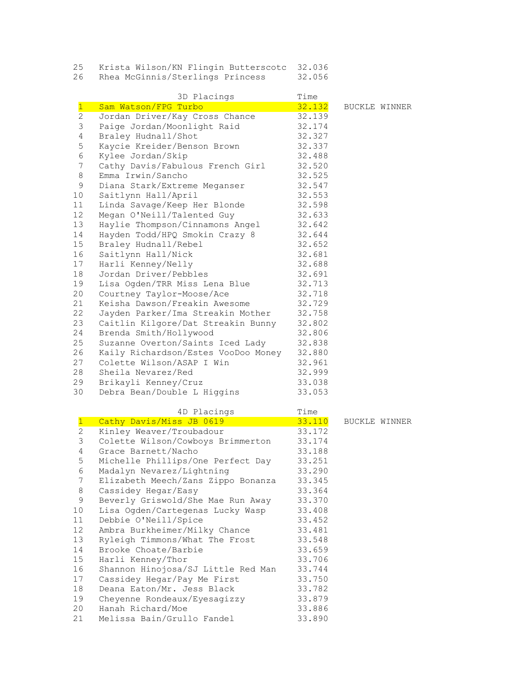| 25 | Krista Wilson/KN Flingin Butterscotc 32.036 |        |
|----|---------------------------------------------|--------|
|    | Rhea McGinnis/Sterlings Princess            | 32.056 |

|                 | 3D Placings                         | Time           |               |
|-----------------|-------------------------------------|----------------|---------------|
| $\mathbf{1}$    | Sam Watson/FPG Turbo                | 32.132         | BUCKLE WINNER |
| $\overline{2}$  | Jordan Driver/Kay Cross Chance      | 32.139         |               |
| 3               | Paige Jordan/Moonlight Raid         | 32.174         |               |
| 4               | Braley Hudnall/Shot                 | 32.327         |               |
| 5               | Kaycie Kreider/Benson Brown         | 32.337         |               |
| $\epsilon$      | Kylee Jordan/Skip                   | 32.488         |               |
| 7               | Cathy Davis/Fabulous French Girl    | 32.520         |               |
| 8               | Emma Irwin/Sancho                   | 32.525         |               |
| 9               | Diana Stark/Extreme Meganser        | 32.547         |               |
| 10              | Saitlynn Hall/April                 | 32.553         |               |
| 11              | Linda Savage/Keep Her Blonde        | 32.598         |               |
| 12 <sup>°</sup> | Megan O'Neill/Talented Guy          | 32.633         |               |
| 13              | Haylie Thompson/Cinnamons Angel     | 32.642         |               |
| 14              | Hayden Todd/HPQ Smokin Crazy 8      | 32.644         |               |
| 15              | Braley Hudnall/Rebel                | 32.652         |               |
| 16              | Saitlynn Hall/Nick                  | 32.681         |               |
| 17              | Harli Kenney/Nelly                  | 32.688         |               |
| 18              | Jordan Driver/Pebbles               | 32.691         |               |
| 19              | Lisa Ogden/TRR Miss Lena Blue       | 32.713         |               |
| 20              | Courtney Taylor-Moose/Ace           | 32.718         |               |
| 21              | Keisha Dawson/Freakin Awesome       | 32.729         |               |
| 22              | Jayden Parker/Ima Streakin Mother   | 32.758         |               |
| 23              | Caitlin Kilgore/Dat Streakin Bunny  | 32.802         |               |
| 24              | Brenda Smith/Hollywood              | 32.806         |               |
| 25              | Suzanne Overton/Saints Iced Lady    | 32.838         |               |
| 26              | Kaily Richardson/Estes VooDoo Money | 32.880         |               |
| 27              | Colette Wilson/ASAP I Win           | 32.961         |               |
| 28              | Sheila Nevarez/Red                  | 32.999         |               |
| 29              | Brikayli Kenney/Cruz                | 33.038         |               |
| 30              | Debra Bean/Double L Higgins         | 33.053         |               |
|                 |                                     |                |               |
| $\mathbf{1}$    | 4D Placings                         | Time<br>33.110 |               |
|                 | Cathy Davis/Miss JB 0619            |                | BUCKLE WINNER |

|                 | Cathy Davis/Miss JB 0619                  | 33.110 | <b>BUCKLI</b> |
|-----------------|-------------------------------------------|--------|---------------|
| $\overline{2}$  | Kinley Weaver/Troubadour                  | 33.172 |               |
| 3               | Colette Wilson/Cowboys Brimmerton 33.174  |        |               |
| 4               | Grace Barnett/Nacho                       | 33.188 |               |
| 5               | Michelle Phillips/One Perfect Day 33.251  |        |               |
| 6               | Madalyn Nevarez/Lightning                 | 33.290 |               |
| 7               | Elizabeth Meech/Zans Zippo Bonanza        | 33.345 |               |
| 8               | Cassidey Hegar/Easy                       | 33.364 |               |
| $\mathsf 9$     | Beverly Griswold/She Mae Run Away 33.370  |        |               |
| 10              | Lisa Ogden/Cartegenas Lucky Wasp 33.408   |        |               |
| 11              | Debbie O'Neill/Spice                      | 33.452 |               |
| 12 <sup>7</sup> | Ambra Burkheimer/Milky Chance             | 33.481 |               |
| 13              | Ryleigh Timmons/What The Frost            | 33.548 |               |
| 14              | Brooke Choate/Barbie                      | 33.659 |               |
| 15              | Harli Kenney/Thor                         | 33.706 |               |
| 16              | Shannon Hinojosa/SJ Little Red Man 33.744 |        |               |
| 17 <sup>7</sup> | Cassidey Hegar/Pay Me First               | 33.750 |               |
| 18              | Deana Eaton/Mr. Jess Black                | 33.782 |               |
| 19              | Cheyenne Rondeaux/Eyesagizzy              | 33.879 |               |
| 20              | Hanah Richard/Moe                         | 33.886 |               |
| 21              | Melissa Bain/Grullo Fandel                | 33.890 |               |